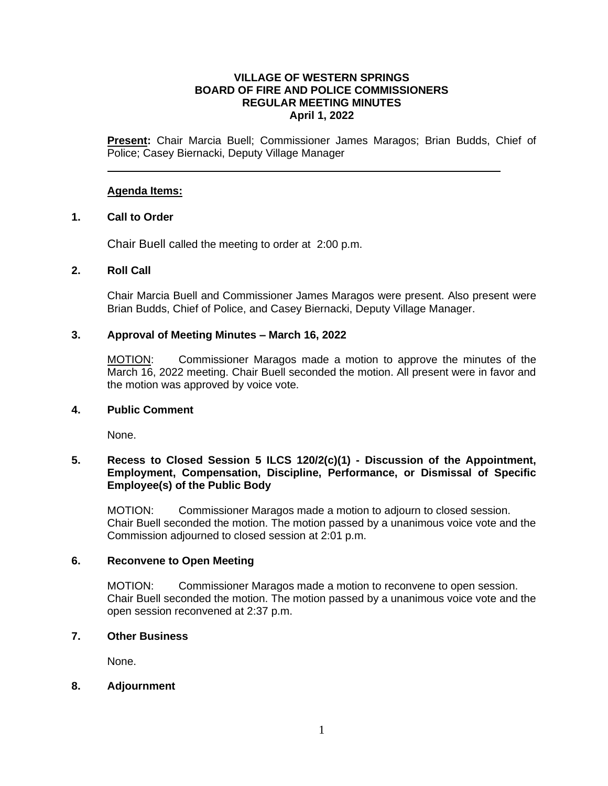### **VILLAGE OF WESTERN SPRINGS BOARD OF FIRE AND POLICE COMMISSIONERS REGULAR MEETING MINUTES April 1, 2022**

**Present:** Chair Marcia Buell; Commissioner James Maragos; Brian Budds, Chief of Police; Casey Biernacki, Deputy Village Manager

### **Agenda Items:**

### **1. Call to Order**

Chair Buell called the meeting to order at 2:00 p.m.

### **2. Roll Call**

Chair Marcia Buell and Commissioner James Maragos were present. Also present were Brian Budds, Chief of Police, and Casey Biernacki, Deputy Village Manager.

## **3. Approval of Meeting Minutes – March 16, 2022**

MOTION: Commissioner Maragos made a motion to approve the minutes of the March 16, 2022 meeting. Chair Buell seconded the motion. All present were in favor and the motion was approved by voice vote.

## **4. Public Comment**

None.

# **5. Recess to Closed Session 5 ILCS 120/2(c)(1) - Discussion of the Appointment, Employment, Compensation, Discipline, Performance, or Dismissal of Specific Employee(s) of the Public Body**

MOTION: Commissioner Maragos made a motion to adjourn to closed session. Chair Buell seconded the motion. The motion passed by a unanimous voice vote and the Commission adjourned to closed session at 2:01 p.m.

### **6. Reconvene to Open Meeting**

MOTION: Commissioner Maragos made a motion to reconvene to open session. Chair Buell seconded the motion. The motion passed by a unanimous voice vote and the open session reconvened at 2:37 p.m.

### **7. Other Business**

None.

### **8. Adjournment**